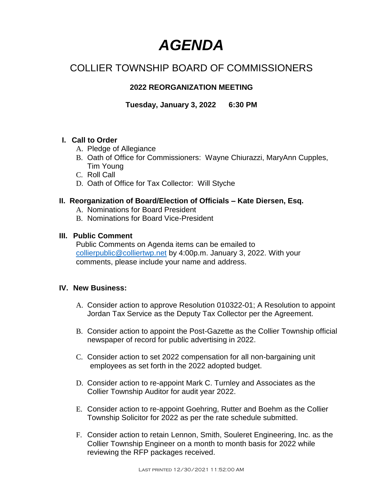# *AGENDA*

# COLLIER TOWNSHIP BOARD OF COMMISSIONERS

# **2022 REORGANIZATION MEETING**

**Tuesday, January 3, 2022 6:30 PM**

#### **I. Call to Order**

- A. Pledge of Allegiance
- B. Oath of Office for Commissioners: Wayne Chiurazzi, MaryAnn Cupples, Tim Young
- C. Roll Call
- D. Oath of Office for Tax Collector: Will Styche

#### **II. Reorganization of Board/Election of Officials – Kate Diersen, Esq.**

- A. Nominations for Board President
- B. Nominations for Board Vice-President

#### **III. Public Comment**

Public Comments on Agenda items can be emailed to [collierpublic@colliertwp.net](mailto:collierpublic@colliertwp.net) by 4:00p.m. January 3, 2022. With your comments, please include your name and address.

#### **IV. New Business:**

- A. Consider action to approve Resolution 010322-01; A Resolution to appoint Jordan Tax Service as the Deputy Tax Collector per the Agreement.
- B. Consider action to appoint the Post-Gazette as the Collier Township official newspaper of record for public advertising in 2022.
- C. Consider action to set 2022 compensation for all non-bargaining unit employees as set forth in the 2022 adopted budget.
- D. Consider action to re-appoint Mark C. Turnley and Associates as the Collier Township Auditor for audit year 2022.
- E. Consider action to re-appoint Goehring, Rutter and Boehm as the Collier Township Solicitor for 2022 as per the rate schedule submitted.
- F. Consider action to retain Lennon, Smith, Souleret Engineering, Inc. as the Collier Township Engineer on a month to month basis for 2022 while reviewing the RFP packages received.